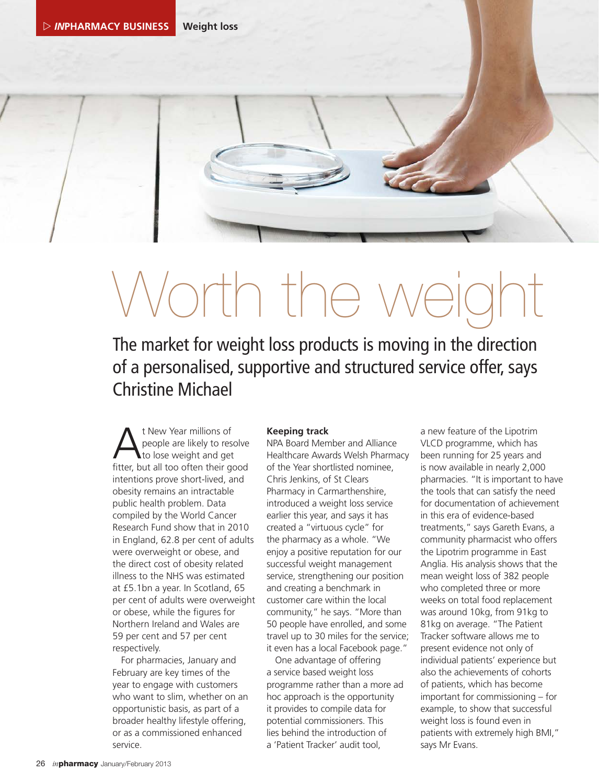# orth the weig

The market for weight loss products is moving in the direction of a personalised, supportive and structured service offer, says Christine Michael

A t New Year millions of<br>
people are likely to resort<br>
fitter but all too often their go people are likely to resolve fitter, but all too often their good intentions prove short-lived, and obesity remains an intractable public health problem. Data compiled by the World Cancer Research Fund show that in 2010 in England, 62.8 per cent of adults were overweight or obese, and the direct cost of obesity related illness to the NHS was estimated at £5.1bn a year. In Scotland, 65 per cent of adults were overweight or obese, while the figures for Northern Ireland and Wales are 59 per cent and 57 per cent respectively.

For pharmacies, January and February are key times of the year to engage with customers who want to slim, whether on an opportunistic basis, as part of a broader healthy lifestyle offering, or as a commissioned enhanced service.

# **Keeping track**

NPA Board Member and Alliance Healthcare Awards Welsh Pharmacy of the Year shortlisted nominee, Chris Jenkins, of St Clears Pharmacy in Carmarthenshire, introduced a weight loss service earlier this year, and says it has created a "virtuous cycle" for the pharmacy as a whole. "We enjoy a positive reputation for our successful weight management service, strengthening our position and creating a benchmark in customer care within the local community," he says. "More than 50 people have enrolled, and some travel up to 30 miles for the service; it even has a local Facebook page."

One advantage of offering a service based weight loss programme rather than a more ad hoc approach is the opportunity it provides to compile data for potential commissioners. This lies behind the introduction of a 'Patient Tracker' audit tool,

a new feature of the Lipotrim VLCD programme, which has been running for 25 years and is now available in nearly 2,000 pharmacies. "It is important to have the tools that can satisfy the need for documentation of achievement in this era of evidence-based treatments," says Gareth Evans, a community pharmacist who offers the Lipotrim programme in East Anglia. His analysis shows that the mean weight loss of 382 people who completed three or more weeks on total food replacement was around 10kg, from 91kg to 81kg on average. "The Patient Tracker software allows me to present evidence not only of individual patients' experience but also the achievements of cohorts of patients, which has become important for commissioning – for example, to show that successful weight loss is found even in patients with extremely high BMI," says Mr Evans.